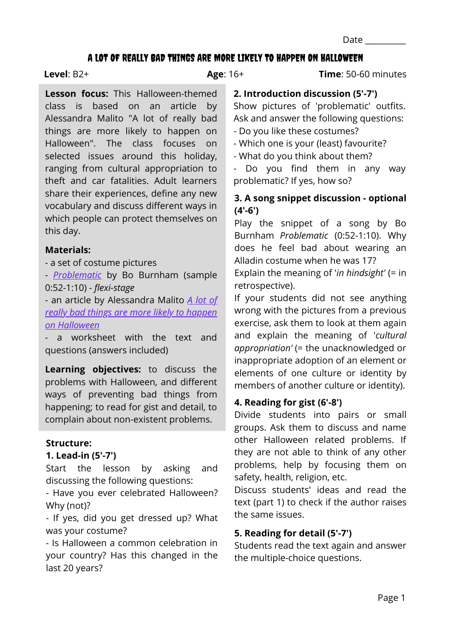Page 1

Date  $\Box$ 

### A LOT OF REALLY BAD THINGS ARE MORE LIKELY TO HAPPEN ON HALLOWEEN

#### **Level**: B2+

**Age**: 16+ **Time**: 50-60 minutes

# **Lesson focus:** This Halloween-themed class is based on an article by Alessandra Malito "A lot of really bad things are more likely to happen on Halloween". The class focuses on selected issues around this holiday, ranging from cultural appropriation to theft and car fatalities. Adult learners share their experiences, define any new vocabulary and discuss different ways in which people can protect themselves on this day.

# **Materials:**

- a set of costume pictures

- *[Problematic](https://www.youtube.com/watch?v=KsTG1ETKkHo)* by Bo Burnham (sample 0:52-1:10) - *flexi-stage*

[- an article by Alessandra Malito](https://www.marketwatch.com/story/halloween-isnt-just-scary-its-dangerous-2018-10-30) *A lot of really bad things are more likely to happen on Halloween*

*-* a worksheet with the text and questions (answers included)

**Learning objectives:** to discuss the problems with Halloween, and different ways of preventing bad things from happening; to read for gist and detail, to complain about non-existent problems.

# **Structure:**

# **1. Lead-in (5'-7')**

Start the lesson by asking and discussing the following questions:

- Have you ever celebrated Halloween? Why (not)?

- If yes, did you get dressed up? What was your costume?

- Is Halloween a common celebration in your country? Has this changed in the last 20 years?

### **2. Introduction discussion (5'-7')**

Show pictures of 'problematic' outfits. Ask and answer the following questions: - Do you like these costumes?

- Which one is your (least) favourite?

- What do you think about them?

Do you find them in any way problematic? If yes, how so?

# **3. A song snippet discussion - optional (4'-6')**

Play the snippet of a song by Bo Burnham *Problematic* (0:52-1:10). Why does he feel bad about wearing an Alladin costume when he was 17?

Explain the meaning of '*in hindsight'* (= in retrospective).

If your students did not see anything wrong with the pictures from a previous exercise, ask them to look at them again and explain the meaning of '*cultural appropriation'* (= the unacknowledged or inappropriate adoption of an element or elements of one culture or identity by members of another culture or identity).

# **4. Reading for gist (6'-8')**

Divide students into pairs or small groups. Ask them to discuss and name other Halloween related problems. If they are not able to think of any other problems, help by focusing them on safety, health, religion, etc.

Discuss students' ideas and read the text (part 1) to check if the author raises the same issues.

# **5. Reading for detail (5'-7')**

Students read the text again and answer the multiple-choice questions.